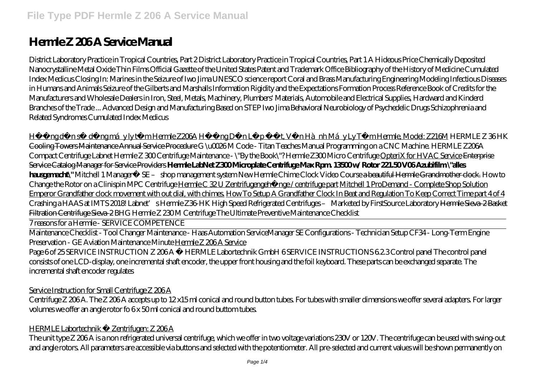# **Hermle Z 206 A Service Manual**

District Laboratory Practice in Tropical Countries, Part 2 District Laboratory Practice in Tropical Countries, Part 1 A Hideous Price Chemically Deposited Nanocrystalline Metal Oxide Thin Films Official Gazette of the United States Patent and Trademark Office Bibliography of the History of Medicine Cumulated Index Medicus Closing In: Marines in the Seizure of Iwo Jima UNESCO science report Coral and Brass Manufacturing Engineering Modeling Infectious Diseases in Humans and Animals Seizure of the Gilberts and Marshalls Information Rigidity and the Expectations Formation Process Reference Book of Credits for the Manufacturers and Wholesale Dealers in Iron, Steel, Metals, Machinery, Plumbers' Materials, Automobile and Electrical Supplies, Hardward and Kinderd Branches of the Trade ... Advanced Design and Manufacturing Based on STEP Iwo Jima Behavioral Neurobiology of Psychedelic Drugs Schizophrenia and Related Syndromes Cumulated Index Medicus

Hungd nsư dụng máy ly tâm Hermle Z206A Hung Dulp t, Vun Hành Máy Ly Tâm Hermle, Model: Z216M *HERMLE Z 36 HK* Cooling Towers Maintenance Annual Service Procedure *G \u0026 M Code - Titan Teaches Manual Programming on a CNC Machine.* HERMLE Z206A Compact Centrifuge Labnet Hermle Z 300 Centrifuge *Maintenance - \"By the Book\"?* Hermle Z300 Micro Centrifuge OpteriX for HVAC Service Enterprise Service Catalog Manager for Service Providers **Hermle LabNet Z300 Microplate Centrifuge Max Rpm. 13500 w/ Rotor 221.50 V06 Azubifilm \"alles hausgemacht\"** *Mitchell 1 Manager™ SE – shop management system* New Hermle Chime Clock Video Course a beautiful Hermle Grandmother clock. *How to Change the Rotor on a Clinispin MPC Centrifuge* Hermle C 32 U Zentrifugengehänge / centrifuge part Mitchell 1 ProDemand - Complete Shop Solution Emperor Grandfather clock movement with out dial, with chimes. How To Setup A Grandfather Clock In Beat and Regulation To Keep Correct Time part 4 of 4 Crashing a HAAS at IMTS 2018! *Labnet's Hermle Z36-HK High Speed Refrigerated Centrifuges – Marketed by FirstSource Laboratory* Hermle Sieva-2 Basket Filtration Centrifuge Sieva-2 *BHG Hermle Z 230 M Centrifuge* The Ultimate Preventive Maintenance Checklist

7 reasons for a Hermle - SERVICE COMPETENCE

Maintenance Checklist - Tool Changer Maintenance - Haas Automation Service*Manager SE Configurations - Technician Setup CF34 - Long-Term Engine Preservation - GE Aviation Maintenance Minute* Hermle Z 206 A Service

Page 6 of 25 SERVICE INSTRUCTION Z 206 A © HERMLE Labortechnik GmbH 6 SERVICE INSTRUCTIONS 62.3 Control panel The control panel consists of one LCD-display, one incremental shaft encoder, the upper front housing and the foil keyboard. These parts can be exchanged separate. The incremental shaft encoder regulates

Service Instruction for Small Centrifuge Z 206A

Centrifuge Z 206 A. The Z 206 A accepts up to 12 x15 ml conical and round button tubes. For tubes with smaller dimensions we offer several adapters. For larger volumes we offer an angle rotor fo 6 x 50 ml conical and round buttom tubes.

## HERMLE Labortechnik · Zentrifugen: Z 206 A

The unit type Z 206 A is a non refrigerated universal centrifuge, which we offer in two voltage variations 230V or 120V. The centrifuge can be used with swing-out and angle rotors. All parameters are accessible via buttons and selected with the potentiometer. All pre-selected and current values will be shown permanently on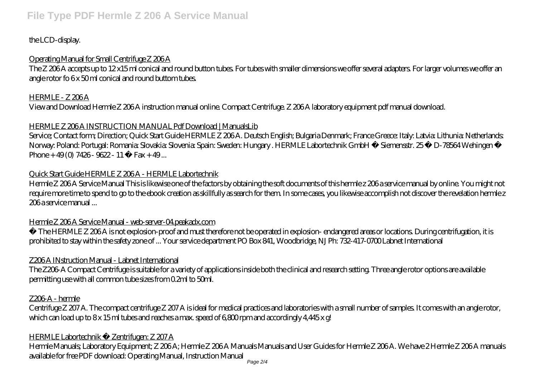# the LCD-display.

# Operating Manual for Small Centrifuge Z 206 A

The Z 206 A accepts up to 12 x15 ml conical and round button tubes. For tubes with smaller dimensions we offer several adapters. For larger volumes we offer an angle rotor fo 6x 50 ml conical and round buttom tubes.

## HERMLE - Z 206A

View and Download Hermle Z 206 A instruction manual online. Compact Centrifuge. Z 206 A laboratory equipment pdf manual download.

## HERMLE Z 206 A INSTRUCTION MANUAL Pdf Download | ManualsLib

Service; Contact form; Direction; Quick Start Guide HERMLE Z 206A. Deutsch English; Bulgaria Denmark; France Greece: Italy: Latvia: Lithunia: Netherlands: Norway: Poland: Portugal: Romania: Slovakia: Slovenia: Spain: Sweden: Hungary . HERMLE Labortechnik GmbH · Siemensstr. 25 · D-78564 Wehingen · Phone +  $49(0)$  7426 - 9622 - 11 · Fax + 49...

## Quick Start Guide HERMLE Z 206 A - HERMLE Labortechnik

Hermle Z 206 A Service Manual This is likewise one of the factors by obtaining the soft documents of this hermle z 206 a service manual by online. You might not require more time to spend to go to the ebook creation as skillfully as search for them. In some cases, you likewise accomplish not discover the revelation hermle z 206 a service manual ...

# Hermle Z 206 A Service Manual - web-server-04.peakadx.com

• The HERMLE Z 206 A is not explosion-proof and must therefore not be operated in explosion- endangered areas or locations. During centrifugation, it is prohibited to stay within the safety zone of ... Your service department PO Box 841, Woodbridge, NJ Ph: 732-417-0700 Labnet International

# Z206 A INstruction Manual - Labnet International

The Z206-A Compact Centrifuge is suitable for a variety of applications inside both the clinical and research setting. Three angle rotor options are available permitting use with all common tube sizes from 0.2ml to 50ml.

## Z206-A - hermle

Centrifuge Z 207 A. The compact centrifuge Z 207 A is ideal for medical practices and laboratories with a small number of samples. It comes with an angle rotor, which can load up to 8x 15 ml tubes and reaches a max. speed of 6,800 rpm and accordingly 4,445 x g!

## HERMLE Labortechnik · Zentrifugen: Z 207 A

Hermle Manuals; Laboratory Equipment; Z 206A; Hermle Z 206A Manuals Manuals and User Guides for Hermle Z 206A. We have 2 Hermle Z 206A manuals available for free PDF download: Operating Manual, Instruction Manual Page 2/4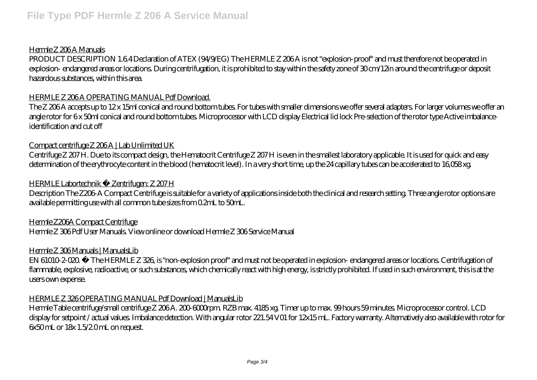### Hermle Z 206A Manuals

PRODUCT DESCRIPTION 1.64 Declaration of ATEX (94/9/EG) The HERMLE Z 206A is not "explosion-proof" and must therefore not be operated in explosion- endangered areas or locations. During centrifugation, it is prohibited to stay within the safety zone of 30 cm/12in around the centrifuge or deposit hazardous substances, within this area.

#### HERMLE Z 206 A OPERATING MANUAL Pdf Download.

The Z 206 A accepts up to 12 x 15ml conical and round bottom tubes. For tubes with smaller dimensions we offer several adapters. For larger volumes we offer an angle rotor for 6 x 50ml conical and round bottom tubes. Microprocessor with LCD display Electrical lid lock Pre-selection of the rotor type Active imbalanceidentification and cut off

#### Compact centrifuge Z 206A | Lab Unlimited UK

Centrifuge Z 207 H. Due to its compact design, the Hematocrit Centrifuge Z 207 H is even in the smallest laboratory applicable. It is used for quick and easy determination of the erythrocyte content in the blood (hematocrit level). In a very short time, up the 24 capillary tubes can be accelerated to 16,058 xg.

### HERMLE Labortechnik · Zentrifugen: Z 207 H

Description The Z206-A Compact Centrifuge is suitable for a variety of applications inside both the clinical and research setting. Three angle rotor options are available permitting use with all common tube sizes from 0.2mL to 50mL.

## Hermle Z206A Compact Centrifuge

Hermle Z 306 Pdf User Manuals. View online or download Hermle Z 306 Service Manual

#### Hermle Z 306 Manuals | ManualsLib

EN 61010-2-020. • The HERMLE Z 326, is "non-explosion proof" and must not be operated in explosion- endangered areas or locations. Centrifugation of flammable, explosive, radioactive, or such substances, which chemically react with high energy, is strictly prohibited. If used in such environment, this is at the users own expense.

#### HERMLE Z 326 OPERATING MANUAL Pdf Download | ManualsLib

Hermle Table centrifuge/small centrifuge Z 206 A. 200-6000rpm. RZB max. 4185 xg. Timer up to max. 99 hours 59 minutes. Microprocessor control. LCD display for setpoint / actual values. Imbalance detection. With angular rotor 221.54 V01 for 12x15 mL. Factory warranty. Alternatively also available with rotor for 6x50 mL or 18x 1.5/2.0 mL on request.